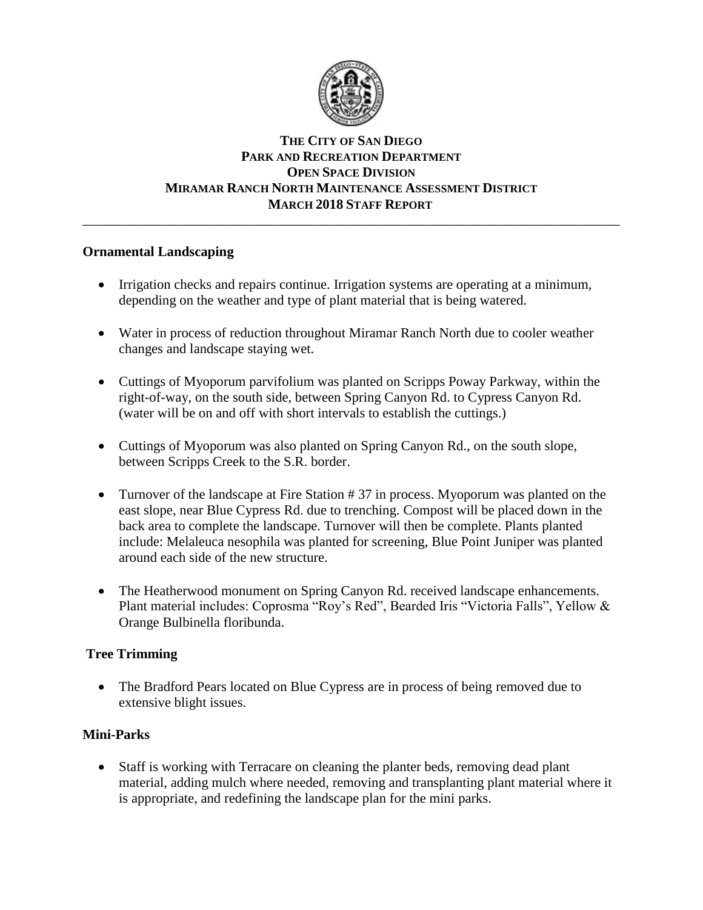

### **THE CITY OF SAN DIEGO PARK AND RECREATION DEPARTMENT OPEN SPACE DIVISION MIRAMAR RANCH NORTH MAINTENANCE ASSESSMENT DISTRICT MARCH 2018 STAFF REPORT** \_\_\_\_\_\_\_\_\_\_\_\_\_\_\_\_\_\_\_\_\_\_\_\_\_\_\_\_\_\_\_\_\_\_\_\_\_\_\_\_\_\_\_\_\_\_\_\_\_\_\_\_\_\_\_\_\_\_\_\_\_\_\_\_\_\_\_\_\_\_\_\_\_\_\_\_\_\_

# **Ornamental Landscaping**

- Irrigation checks and repairs continue. Irrigation systems are operating at a minimum, depending on the weather and type of plant material that is being watered.
- Water in process of reduction throughout Miramar Ranch North due to cooler weather changes and landscape staying wet.
- Cuttings of Myoporum parvifolium was planted on Scripps Poway Parkway, within the right-of-way, on the south side, between Spring Canyon Rd. to Cypress Canyon Rd. (water will be on and off with short intervals to establish the cuttings.)
- Cuttings of Myoporum was also planted on Spring Canyon Rd., on the south slope, between Scripps Creek to the S.R. border.
- Turnover of the landscape at Fire Station # 37 in process. Myoporum was planted on the east slope, near Blue Cypress Rd. due to trenching. Compost will be placed down in the back area to complete the landscape. Turnover will then be complete. Plants planted include: Melaleuca nesophila was planted for screening, Blue Point Juniper was planted around each side of the new structure.
- The Heatherwood monument on Spring Canyon Rd. received landscape enhancements. Plant material includes: Coprosma "Roy's Red", Bearded Iris "Victoria Falls", Yellow & Orange Bulbinella floribunda.

# **Tree Trimming**

• The Bradford Pears located on Blue Cypress are in process of being removed due to extensive blight issues.

# **Mini-Parks**

• Staff is working with Terracare on cleaning the planter beds, removing dead plant material, adding mulch where needed, removing and transplanting plant material where it is appropriate, and redefining the landscape plan for the mini parks.